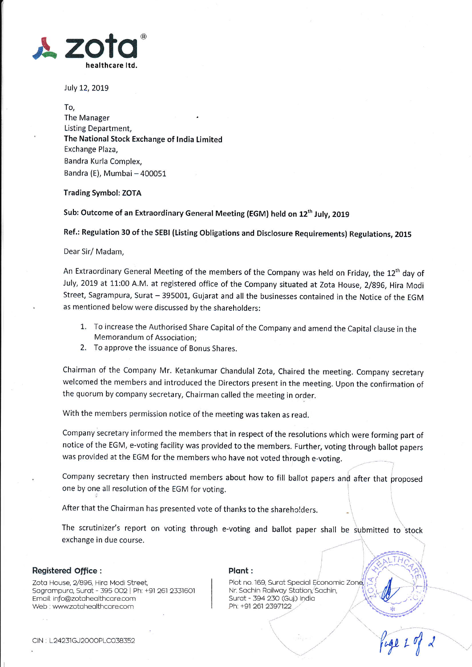

July 12, 2019

To, The Manager Listing Department, The National Stock Exchange of lndia Limited Exchange Plaza, Bandra Kurla Complex, Bandra (E), Mumbai - 400051

## Trading Symbol: ZOTA

Sub: Outcome of an Extraordinary General Meeting (EGM) held on 12<sup>th</sup> July, 2019

Ref.: Regulation 30 of the sEBl (Listing obligations and Disclosure Requirements) Regulations, 201s

Dear Sir/ Madam,

An Extraordinary General Meeting of the members of the Company was held on Friday, the 12<sup>th</sup> day of July, 2019 at 11:00 A.M. at registered office of the company situated at zota House, 2/896, Hira Modi Street, Sagrampura, Surat - 395001, Gujarat and all the businesses contained in the Notice of the EGM as mentioned below were discussed by the shareholders:

- 1. To increase the Authorised Share Capital of the Company and amend the Capital clause in the Memorandum of Association;
- 2. To approve the issuance of Bonus Shares.

chairman of the company Mr. Ketankumar chandulal zota, chaired the meeting. company secretary welcomed the members and introduced the Directors present in the meeting. Upon the confirmation of the quorum by company secretary, Chairman called the meeting in order.

With the members permission notice of the meeting was taken as read.

Company secretary informed the members that in respect of the resolutions which were forming part of notice of the EGM, e-voting facility was provided to the members. Further, voting through ballot papers was provided at the EGM for the members who have not voted through e-voting.

Company secretary then instructed members about how to fill ballot papers and after that proposed one by one all resolution of the EGM for voting.

After that the Chairman has presented vote of thanks to the shareholders.

The scrutinizer's report on voting through e-voting and ballot paper shall be submitted to stock exchange in due course.

## Registered office :

Zota House, 2/896, Hira Modi Street, Sogrompuro, Surot - 395 OO2 Ph: +91 261 2331601 Email: info@zotahealthcare.com Web : www.zotahealthcare.com

## Plant :

Plot no. 169, Surat Special Economic Zone, Nr. Sachin Railway Station, Sachin, Surat - 394 230 (Guj.) India Ph: +91 261 2397122

 $\left\{ \begin{array}{c} \end{array} \right.$ 

\. ,,' fw,( t ,